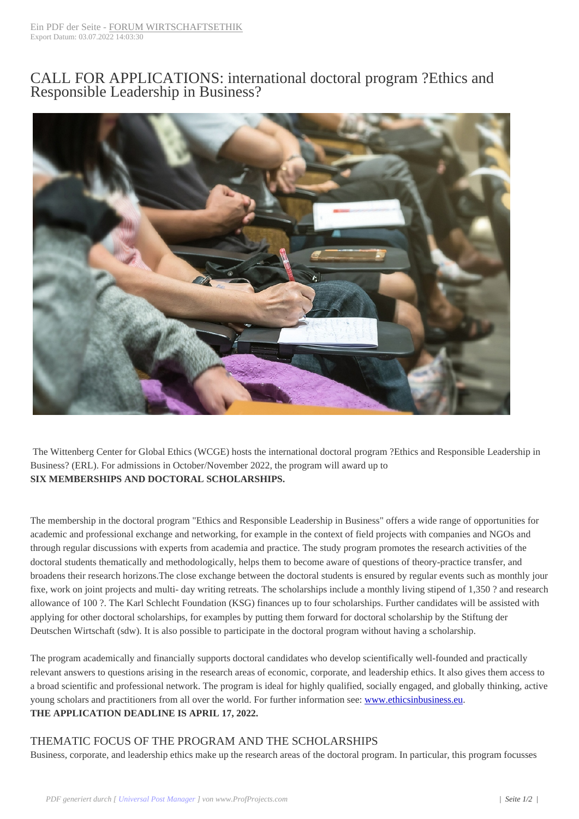## CALL FOR [APPLICATIONS: int](https://www.forum-wirtschaftsethik.de/?p=5120)ernational doctoral program ?Ethics and Responsible Leadership in Business?



The Wittenberg Center for Global Ethics (WCGE) hosts the international doctoral program ?Ethics and Responsible Leadership in Business? (ERL). For admissions in October/November 2022, the program will award up to **SIX MEMBERSHIPS AND DOCTORAL SCHOLARSHIPS.**

The membership in the doctoral program "Ethics and Responsible Leadership in Business" offers a wide range of opportunities for academic and professional exchange and networking, for example in the context of field projects with companies and NGOs and through regular discussions with experts from academia and practice. The study program promotes the research activities of the doctoral students thematically and methodologically, helps them to become aware of questions of theory-practice transfer, and broadens their research horizons.The close exchange between the doctoral students is ensured by regular events such as monthly jour fixe, work on joint projects and multi- day writing retreats. The scholarships include a monthly living stipend of 1,350 ? and research allowance of 100 ?. The Karl Schlecht Foundation (KSG) finances up to four scholarships. Further candidates will be assisted with applying for other doctoral scholarships, for examples by putting them forward for doctoral scholarship by the Stiftung der Deutschen Wirtschaft (sdw). It is also possible to participate in the doctoral program without having a scholarship.

The program academically and financially supports doctoral candidates who develop scientifically well-founded and practically relevant answers to questions arising in the research areas of economic, corporate, and leadership ethics. It also gives them access to a broad scientific and professional network. The program is ideal for highly qualified, socially engaged, and globally thinking, active young scholars and practitioners from all over the world. For further information see: www.ethicsinbusiness.eu. **THE APPLICATION DEADLINE IS APRIL 17, 2022.**

## THEMATIC FOCUS OF THE PROGRAM AND THE SCHOLARSHIPS

Business, corporate, and leadership ethics make up the research areas of the doctoral [program. In particular, this](https://www.wcge.org/en/research/doctoral-program) program focusses